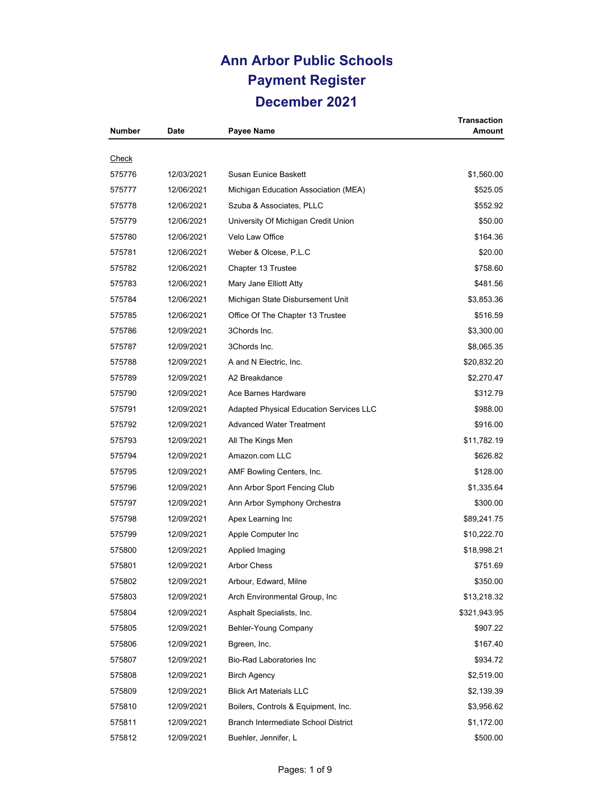## **Ann Arbor Public Schools Payment Register December 2021**

| <b>Number</b> | Date       | Payee Name                                     | Transaction<br>Amount |
|---------------|------------|------------------------------------------------|-----------------------|
|               |            |                                                |                       |
| <u>Check</u>  |            |                                                |                       |
| 575776        | 12/03/2021 | Susan Eunice Baskett                           | \$1,560.00            |
| 575777        | 12/06/2021 | Michigan Education Association (MEA)           | \$525.05              |
| 575778        | 12/06/2021 | Szuba & Associates, PLLC                       | \$552.92              |
| 575779        | 12/06/2021 | University Of Michigan Credit Union            | \$50.00               |
| 575780        | 12/06/2021 | Velo Law Office                                | \$164.36              |
| 575781        | 12/06/2021 | Weber & Olcese, P.L.C                          | \$20.00               |
| 575782        | 12/06/2021 | Chapter 13 Trustee                             | \$758.60              |
| 575783        | 12/06/2021 | Mary Jane Elliott Atty                         | \$481.56              |
| 575784        | 12/06/2021 | Michigan State Disbursement Unit               | \$3,853.36            |
| 575785        | 12/06/2021 | Office Of The Chapter 13 Trustee               | \$516.59              |
| 575786        | 12/09/2021 | 3Chords Inc.                                   | \$3,300.00            |
| 575787        | 12/09/2021 | 3Chords Inc.                                   | \$8,065.35            |
| 575788        | 12/09/2021 | A and N Electric, Inc.                         | \$20,832.20           |
| 575789        | 12/09/2021 | A2 Breakdance                                  | \$2,270.47            |
| 575790        | 12/09/2021 | Ace Barnes Hardware                            | \$312.79              |
| 575791        | 12/09/2021 | <b>Adapted Physical Education Services LLC</b> | \$988.00              |
| 575792        | 12/09/2021 | <b>Advanced Water Treatment</b>                | \$916.00              |
| 575793        | 12/09/2021 | All The Kings Men                              | \$11,782.19           |
| 575794        | 12/09/2021 | Amazon.com LLC                                 | \$626.82              |
| 575795        | 12/09/2021 | AMF Bowling Centers, Inc.                      | \$128.00              |
| 575796        | 12/09/2021 | Ann Arbor Sport Fencing Club                   | \$1,335.64            |
| 575797        | 12/09/2021 | Ann Arbor Symphony Orchestra                   | \$300.00              |
| 575798        | 12/09/2021 | Apex Learning Inc                              | \$89,241.75           |
| 575799        | 12/09/2021 | Apple Computer Inc                             | \$10,222.70           |
| 575800        | 12/09/2021 | Applied Imaging                                | \$18,998.21           |
| 575801        | 12/09/2021 | <b>Arbor Chess</b>                             | \$751.69              |
| 575802        | 12/09/2021 | Arbour, Edward, Milne                          | \$350.00              |
| 575803        | 12/09/2021 | Arch Environmental Group, Inc.                 | \$13,218.32           |
| 575804        | 12/09/2021 | Asphalt Specialists, Inc.                      | \$321,943.95          |
| 575805        | 12/09/2021 | Behler-Young Company                           | \$907.22              |
| 575806        | 12/09/2021 | Bgreen, Inc.                                   | \$167.40              |
| 575807        | 12/09/2021 | <b>Bio-Rad Laboratories Inc</b>                | \$934.72              |
| 575808        | 12/09/2021 | <b>Birch Agency</b>                            | \$2,519.00            |
| 575809        | 12/09/2021 | <b>Blick Art Materials LLC</b>                 | \$2,139.39            |
| 575810        | 12/09/2021 | Boilers, Controls & Equipment, Inc.            | \$3,956.62            |
| 575811        | 12/09/2021 | Branch Intermediate School District            | \$1,172.00            |
| 575812        | 12/09/2021 | Buehler, Jennifer, L                           | \$500.00              |
|               |            |                                                |                       |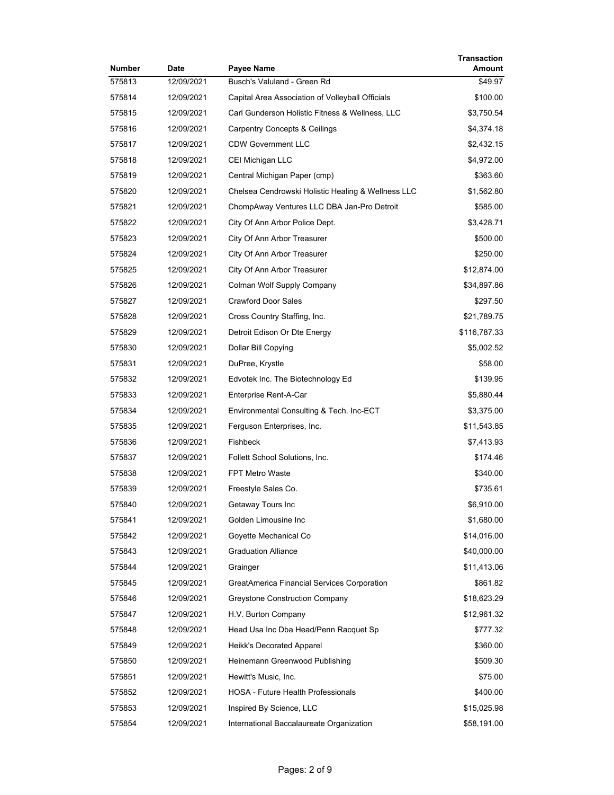| Number | <b>Date</b> | Payee Name                                         | <b>Transaction</b><br>Amount |
|--------|-------------|----------------------------------------------------|------------------------------|
| 575813 | 12/09/2021  | Busch's Valuland - Green Rd                        | \$49.97                      |
| 575814 | 12/09/2021  | Capital Area Association of Volleyball Officials   | \$100.00                     |
| 575815 | 12/09/2021  | Carl Gunderson Holistic Fitness & Wellness, LLC    | \$3,750.54                   |
| 575816 | 12/09/2021  | Carpentry Concepts & Ceilings                      | \$4,374.18                   |
| 575817 | 12/09/2021  | <b>CDW Government LLC</b>                          | \$2,432.15                   |
| 575818 | 12/09/2021  | CEI Michigan LLC                                   | \$4,972.00                   |
| 575819 | 12/09/2021  | Central Michigan Paper (cmp)                       | \$363.60                     |
| 575820 | 12/09/2021  | Chelsea Cendrowski Holistic Healing & Wellness LLC | \$1,562.80                   |
| 575821 | 12/09/2021  | ChompAway Ventures LLC DBA Jan-Pro Detroit         | \$585.00                     |
| 575822 | 12/09/2021  | City Of Ann Arbor Police Dept.                     | \$3,428.71                   |
| 575823 | 12/09/2021  | City Of Ann Arbor Treasurer                        | \$500.00                     |
| 575824 | 12/09/2021  | City Of Ann Arbor Treasurer                        | \$250.00                     |
| 575825 | 12/09/2021  | City Of Ann Arbor Treasurer                        | \$12,874.00                  |
| 575826 | 12/09/2021  | Colman Wolf Supply Company                         | \$34,897.86                  |
| 575827 | 12/09/2021  | <b>Crawford Door Sales</b>                         | \$297.50                     |
| 575828 | 12/09/2021  | Cross Country Staffing, Inc.                       | \$21,789.75                  |
| 575829 | 12/09/2021  | Detroit Edison Or Dte Energy                       | \$116,787.33                 |
| 575830 | 12/09/2021  | Dollar Bill Copying                                | \$5,002.52                   |
| 575831 | 12/09/2021  | DuPree, Krystle                                    | \$58.00                      |
| 575832 | 12/09/2021  | Edvotek Inc. The Biotechnology Ed                  | \$139.95                     |
| 575833 | 12/09/2021  | Enterprise Rent-A-Car                              | \$5,880.44                   |
| 575834 | 12/09/2021  | Environmental Consulting & Tech. Inc-ECT           | \$3,375.00                   |
| 575835 | 12/09/2021  | Ferguson Enterprises, Inc.                         | \$11,543.85                  |
| 575836 | 12/09/2021  | Fishbeck                                           | \$7,413.93                   |
| 575837 | 12/09/2021  | Follett School Solutions, Inc.                     | \$174.46                     |
| 575838 | 12/09/2021  | <b>FPT Metro Waste</b>                             | \$340.00                     |
| 575839 | 12/09/2021  | Freestyle Sales Co.                                | \$735.61                     |
| 575840 | 12/09/2021  | Getaway Tours Inc                                  | \$6,910.00                   |
| 575841 | 12/09/2021  | Golden Limousine Inc                               | \$1,680.00                   |
| 575842 | 12/09/2021  | Goyette Mechanical Co                              | \$14,016.00                  |
| 575843 | 12/09/2021  | <b>Graduation Alliance</b>                         | \$40,000.00                  |
| 575844 | 12/09/2021  | Grainger                                           | \$11,413.06                  |
| 575845 | 12/09/2021  | GreatAmerica Financial Services Corporation        | \$861.82                     |
| 575846 | 12/09/2021  | Greystone Construction Company                     | \$18,623.29                  |
| 575847 | 12/09/2021  | H.V. Burton Company                                | \$12,961.32                  |
| 575848 | 12/09/2021  | Head Usa Inc Dba Head/Penn Racquet Sp              | \$777.32                     |
| 575849 | 12/09/2021  | Heikk's Decorated Apparel                          | \$360.00                     |
| 575850 | 12/09/2021  | Heinemann Greenwood Publishing                     | \$509.30                     |
| 575851 | 12/09/2021  | Hewitt's Music, Inc.                               | \$75.00                      |
| 575852 | 12/09/2021  | HOSA - Future Health Professionals                 | \$400.00                     |
| 575853 | 12/09/2021  | Inspired By Science, LLC                           | \$15,025.98                  |
| 575854 | 12/09/2021  | International Baccalaureate Organization           | \$58,191.00                  |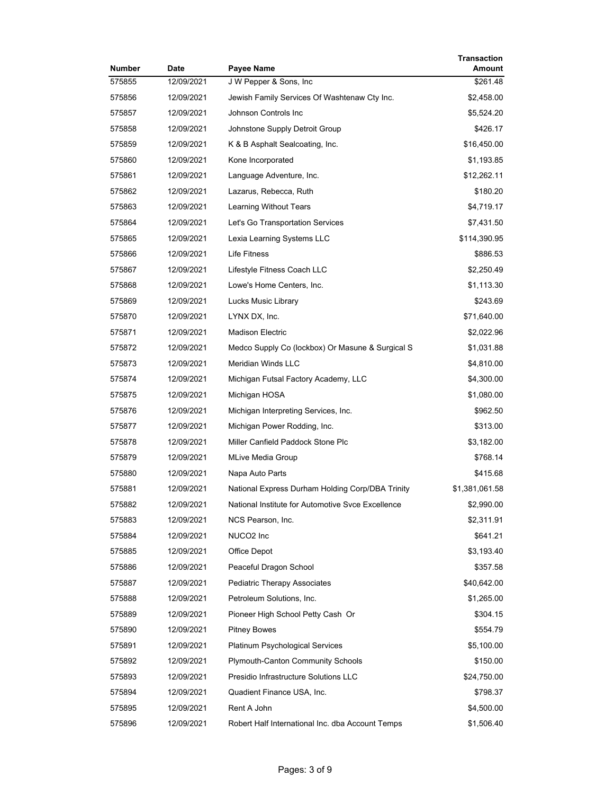| Number | Date       | Payee Name                                        | Transaction<br>Amount |
|--------|------------|---------------------------------------------------|-----------------------|
| 575855 | 12/09/2021 | J W Pepper & Sons, Inc.                           | \$261.48              |
| 575856 | 12/09/2021 | Jewish Family Services Of Washtenaw Cty Inc.      | \$2,458.00            |
| 575857 | 12/09/2021 | Johnson Controls Inc                              | \$5,524.20            |
| 575858 | 12/09/2021 | Johnstone Supply Detroit Group                    | \$426.17              |
| 575859 | 12/09/2021 | K & B Asphalt Sealcoating, Inc.                   | \$16,450.00           |
| 575860 | 12/09/2021 | Kone Incorporated                                 | \$1,193.85            |
| 575861 | 12/09/2021 | Language Adventure, Inc.                          | \$12,262.11           |
| 575862 | 12/09/2021 | Lazarus, Rebecca, Ruth                            | \$180.20              |
| 575863 | 12/09/2021 | Learning Without Tears                            | \$4,719.17            |
| 575864 | 12/09/2021 | Let's Go Transportation Services                  | \$7,431.50            |
| 575865 | 12/09/2021 | Lexia Learning Systems LLC                        | \$114,390.95          |
| 575866 | 12/09/2021 | Life Fitness                                      | \$886.53              |
| 575867 | 12/09/2021 | Lifestyle Fitness Coach LLC                       | \$2,250.49            |
| 575868 | 12/09/2021 | Lowe's Home Centers, Inc.                         | \$1,113.30            |
| 575869 | 12/09/2021 | Lucks Music Library                               | \$243.69              |
| 575870 | 12/09/2021 | LYNX DX, Inc.                                     | \$71,640.00           |
| 575871 | 12/09/2021 | <b>Madison Electric</b>                           | \$2,022.96            |
| 575872 | 12/09/2021 | Medco Supply Co (lockbox) Or Masune & Surgical S  | \$1,031.88            |
| 575873 | 12/09/2021 | Meridian Winds LLC                                | \$4,810.00            |
| 575874 | 12/09/2021 | Michigan Futsal Factory Academy, LLC              | \$4,300.00            |
| 575875 | 12/09/2021 | Michigan HOSA                                     | \$1,080.00            |
| 575876 | 12/09/2021 | Michigan Interpreting Services, Inc.              | \$962.50              |
| 575877 | 12/09/2021 | Michigan Power Rodding, Inc.                      | \$313.00              |
| 575878 | 12/09/2021 | Miller Canfield Paddock Stone Plc                 | \$3,182.00            |
| 575879 | 12/09/2021 | <b>MLive Media Group</b>                          | \$768.14              |
| 575880 | 12/09/2021 | Napa Auto Parts                                   | \$415.68              |
| 575881 | 12/09/2021 | National Express Durham Holding Corp/DBA Trinity  | \$1,381,061.58        |
| 575882 | 12/09/2021 | National Institute for Automotive Svce Excellence | \$2,990.00            |
| 575883 | 12/09/2021 | NCS Pearson, Inc.                                 | \$2,311.91            |
| 575884 | 12/09/2021 | NUCO <sub>2</sub> Inc                             | \$641.21              |
| 575885 | 12/09/2021 | Office Depot                                      | \$3,193.40            |
| 575886 | 12/09/2021 | Peaceful Dragon School                            | \$357.58              |
| 575887 | 12/09/2021 | <b>Pediatric Therapy Associates</b>               | \$40,642.00           |
| 575888 | 12/09/2021 | Petroleum Solutions, Inc.                         | \$1,265.00            |
| 575889 | 12/09/2021 | Pioneer High School Petty Cash Or                 | \$304.15              |
| 575890 | 12/09/2021 | <b>Pitney Bowes</b>                               | \$554.79              |
| 575891 | 12/09/2021 | Platinum Psychological Services                   | \$5,100.00            |
| 575892 | 12/09/2021 | <b>Plymouth-Canton Community Schools</b>          | \$150.00              |
| 575893 | 12/09/2021 | Presidio Infrastructure Solutions LLC             | \$24,750.00           |
| 575894 | 12/09/2021 | Quadient Finance USA, Inc.                        | \$798.37              |
| 575895 | 12/09/2021 | Rent A John                                       | \$4,500.00            |
| 575896 | 12/09/2021 | Robert Half International Inc. dba Account Temps  | \$1,506.40            |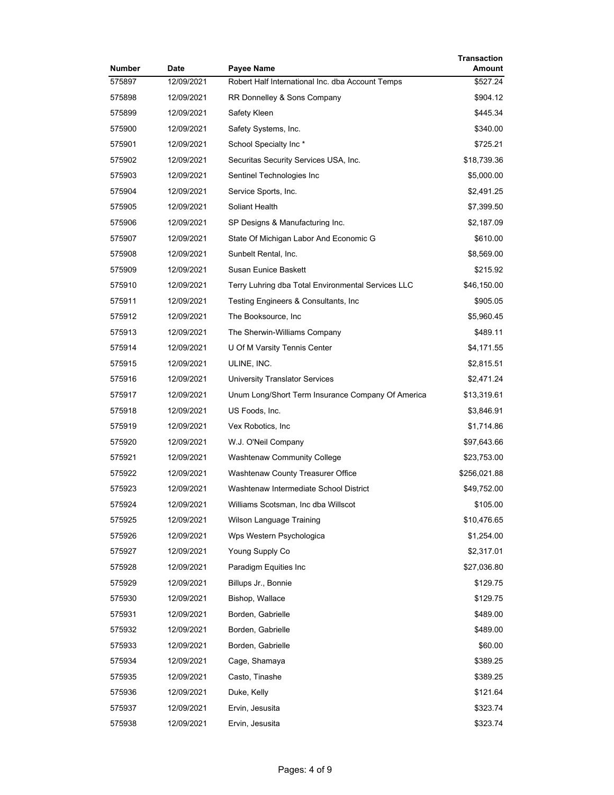| Number | <b>Date</b> | <b>Payee Name</b>                                  | Transaction<br>Amount |
|--------|-------------|----------------------------------------------------|-----------------------|
| 575897 | 12/09/2021  | Robert Half International Inc. dba Account Temps   | \$527.24              |
| 575898 | 12/09/2021  | RR Donnelley & Sons Company                        | \$904.12              |
| 575899 | 12/09/2021  | Safety Kleen                                       | \$445.34              |
| 575900 | 12/09/2021  | Safety Systems, Inc.                               | \$340.00              |
| 575901 | 12/09/2021  | School Specialty Inc*                              | \$725.21              |
| 575902 | 12/09/2021  | Securitas Security Services USA, Inc.              | \$18,739.36           |
| 575903 | 12/09/2021  | Sentinel Technologies Inc                          | \$5,000.00            |
| 575904 | 12/09/2021  | Service Sports, Inc.                               | \$2,491.25            |
| 575905 | 12/09/2021  | Soliant Health                                     | \$7,399.50            |
| 575906 | 12/09/2021  | SP Designs & Manufacturing Inc.                    | \$2,187.09            |
| 575907 | 12/09/2021  | State Of Michigan Labor And Economic G             | \$610.00              |
| 575908 | 12/09/2021  | Sunbelt Rental, Inc.                               | \$8,569.00            |
| 575909 | 12/09/2021  | Susan Eunice Baskett                               | \$215.92              |
| 575910 | 12/09/2021  | Terry Luhring dba Total Environmental Services LLC | \$46,150.00           |
| 575911 | 12/09/2021  | Testing Engineers & Consultants, Inc.              | \$905.05              |
| 575912 | 12/09/2021  | The Booksource, Inc                                | \$5,960.45            |
| 575913 | 12/09/2021  | The Sherwin-Williams Company                       | \$489.11              |
| 575914 | 12/09/2021  | U Of M Varsity Tennis Center                       | \$4,171.55            |
| 575915 | 12/09/2021  | ULINE, INC.                                        | \$2,815.51            |
| 575916 | 12/09/2021  | <b>University Translator Services</b>              | \$2,471.24            |
| 575917 | 12/09/2021  | Unum Long/Short Term Insurance Company Of America  | \$13,319.61           |
| 575918 | 12/09/2021  | US Foods, Inc.                                     | \$3,846.91            |
| 575919 | 12/09/2021  | Vex Robotics, Inc.                                 | \$1,714.86            |
| 575920 | 12/09/2021  | W.J. O'Neil Company                                | \$97,643.66           |
| 575921 | 12/09/2021  | <b>Washtenaw Community College</b>                 | \$23,753.00           |
| 575922 | 12/09/2021  | Washtenaw County Treasurer Office                  | \$256,021.88          |
| 575923 | 12/09/2021  | Washtenaw Intermediate School District             | \$49,752.00           |
| 575924 | 12/09/2021  | Williams Scotsman, Inc dba Willscot                | \$105.00              |
| 575925 | 12/09/2021  | Wilson Language Training                           | \$10,476.65           |
| 575926 | 12/09/2021  | Wps Western Psychologica                           | \$1,254.00            |
| 575927 | 12/09/2021  | Young Supply Co                                    | \$2,317.01            |
| 575928 | 12/09/2021  | Paradigm Equities Inc                              | \$27,036.80           |
| 575929 | 12/09/2021  | Billups Jr., Bonnie                                | \$129.75              |
| 575930 | 12/09/2021  | Bishop, Wallace                                    | \$129.75              |
| 575931 | 12/09/2021  | Borden, Gabrielle                                  | \$489.00              |
| 575932 | 12/09/2021  | Borden, Gabrielle                                  | \$489.00              |
| 575933 | 12/09/2021  | Borden, Gabrielle                                  | \$60.00               |
| 575934 | 12/09/2021  | Cage, Shamaya                                      | \$389.25              |
| 575935 | 12/09/2021  | Casto, Tinashe                                     | \$389.25              |
| 575936 | 12/09/2021  | Duke, Kelly                                        | \$121.64              |
| 575937 | 12/09/2021  | Ervin, Jesusita                                    | \$323.74              |
| 575938 | 12/09/2021  | Ervin, Jesusita                                    | \$323.74              |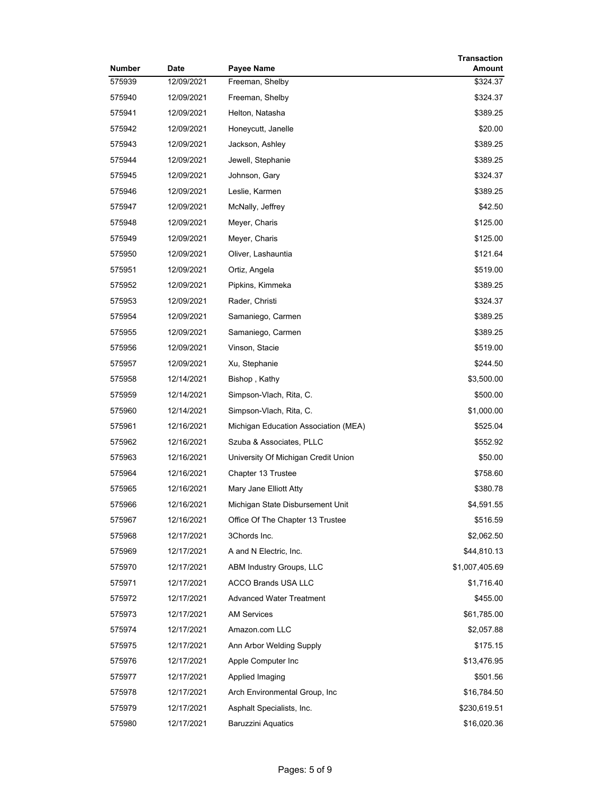| Number | Date       | Payee Name                           | <b>Transaction</b><br>Amount |
|--------|------------|--------------------------------------|------------------------------|
| 575939 | 12/09/2021 | Freeman, Shelby                      | \$324.37                     |
| 575940 | 12/09/2021 | Freeman, Shelby                      | \$324.37                     |
| 575941 | 12/09/2021 | Helton, Natasha                      | \$389.25                     |
| 575942 | 12/09/2021 | Honeycutt, Janelle                   | \$20.00                      |
| 575943 | 12/09/2021 | Jackson, Ashley                      | \$389.25                     |
| 575944 | 12/09/2021 | Jewell, Stephanie                    | \$389.25                     |
| 575945 | 12/09/2021 | Johnson, Gary                        | \$324.37                     |
| 575946 | 12/09/2021 | Leslie, Karmen                       | \$389.25                     |
| 575947 | 12/09/2021 | McNally, Jeffrey                     | \$42.50                      |
| 575948 | 12/09/2021 | Meyer, Charis                        | \$125.00                     |
| 575949 | 12/09/2021 | Meyer, Charis                        | \$125.00                     |
| 575950 | 12/09/2021 | Oliver, Lashauntia                   | \$121.64                     |
| 575951 | 12/09/2021 | Ortiz, Angela                        | \$519.00                     |
| 575952 | 12/09/2021 | Pipkins, Kimmeka                     | \$389.25                     |
| 575953 | 12/09/2021 | Rader, Christi                       | \$324.37                     |
| 575954 | 12/09/2021 | Samaniego, Carmen                    | \$389.25                     |
| 575955 | 12/09/2021 | Samaniego, Carmen                    | \$389.25                     |
| 575956 | 12/09/2021 | Vinson, Stacie                       | \$519.00                     |
| 575957 | 12/09/2021 | Xu, Stephanie                        | \$244.50                     |
| 575958 | 12/14/2021 | Bishop, Kathy                        | \$3,500.00                   |
| 575959 | 12/14/2021 | Simpson-Vlach, Rita, C.              | \$500.00                     |
| 575960 | 12/14/2021 | Simpson-Vlach, Rita, C.              | \$1,000.00                   |
| 575961 | 12/16/2021 | Michigan Education Association (MEA) | \$525.04                     |
| 575962 | 12/16/2021 | Szuba & Associates, PLLC             | \$552.92                     |
| 575963 | 12/16/2021 | University Of Michigan Credit Union  | \$50.00                      |
| 575964 | 12/16/2021 | Chapter 13 Trustee                   | \$758.60                     |
| 575965 | 12/16/2021 | Mary Jane Elliott Atty               | \$380.78                     |
| 575966 | 12/16/2021 | Michigan State Disbursement Unit     | \$4,591.55                   |
| 575967 | 12/16/2021 | Office Of The Chapter 13 Trustee     | \$516.59                     |
| 575968 | 12/17/2021 | 3Chords Inc.                         | \$2,062.50                   |
| 575969 | 12/17/2021 | A and N Electric, Inc.               | \$44,810.13                  |
| 575970 | 12/17/2021 | ABM Industry Groups, LLC             | \$1,007,405.69               |
| 575971 | 12/17/2021 | ACCO Brands USA LLC                  | \$1,716.40                   |
| 575972 | 12/17/2021 | <b>Advanced Water Treatment</b>      | \$455.00                     |
| 575973 | 12/17/2021 | <b>AM Services</b>                   | \$61,785.00                  |
| 575974 | 12/17/2021 | Amazon.com LLC                       | \$2,057.88                   |
| 575975 | 12/17/2021 | Ann Arbor Welding Supply             | \$175.15                     |
| 575976 | 12/17/2021 | Apple Computer Inc                   | \$13,476.95                  |
| 575977 | 12/17/2021 | Applied Imaging                      | \$501.56                     |
| 575978 | 12/17/2021 | Arch Environmental Group, Inc        | \$16,784.50                  |
| 575979 | 12/17/2021 | Asphalt Specialists, Inc.            | \$230,619.51                 |
| 575980 | 12/17/2021 | <b>Baruzzini Aquatics</b>            | \$16,020.36                  |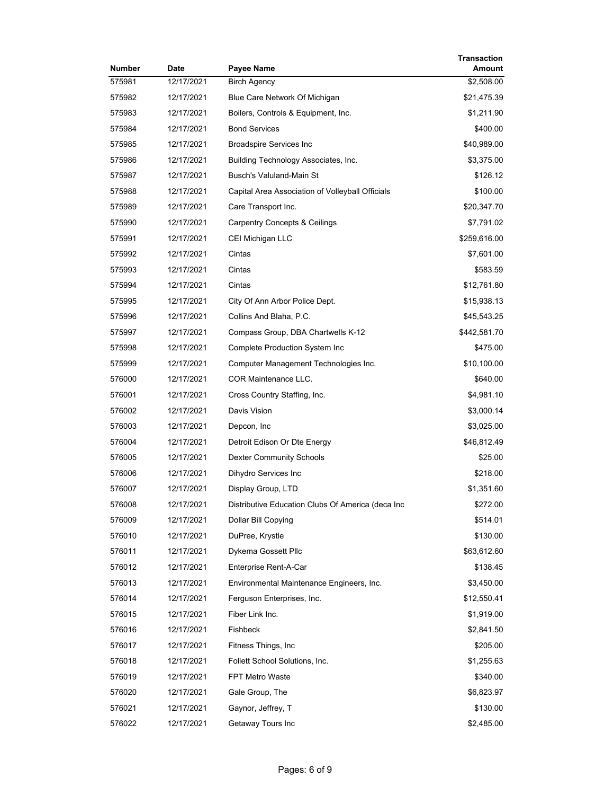| Number | Date       | Payee Name                                        | <b>Transaction</b><br>Amount |
|--------|------------|---------------------------------------------------|------------------------------|
| 575981 | 12/17/2021 | <b>Birch Agency</b>                               | \$2,508.00                   |
| 575982 | 12/17/2021 | Blue Care Network Of Michigan                     | \$21,475.39                  |
| 575983 | 12/17/2021 | Boilers, Controls & Equipment, Inc.               | \$1,211.90                   |
| 575984 | 12/17/2021 | <b>Bond Services</b>                              | \$400.00                     |
| 575985 | 12/17/2021 | <b>Broadspire Services Inc</b>                    | \$40,989.00                  |
| 575986 | 12/17/2021 | Building Technology Associates, Inc.              | \$3,375.00                   |
| 575987 | 12/17/2021 | <b>Busch's Valuland-Main St</b>                   | \$126.12                     |
| 575988 | 12/17/2021 | Capital Area Association of Volleyball Officials  | \$100.00                     |
| 575989 | 12/17/2021 | Care Transport Inc.                               | \$20,347.70                  |
| 575990 | 12/17/2021 | <b>Carpentry Concepts &amp; Ceilings</b>          | \$7,791.02                   |
| 575991 | 12/17/2021 | CEI Michigan LLC                                  | \$259,616.00                 |
| 575992 | 12/17/2021 | Cintas                                            | \$7,601.00                   |
| 575993 | 12/17/2021 | Cintas                                            | \$583.59                     |
| 575994 | 12/17/2021 | Cintas                                            | \$12,761.80                  |
| 575995 | 12/17/2021 | City Of Ann Arbor Police Dept.                    | \$15,938.13                  |
| 575996 | 12/17/2021 | Collins And Blaha, P.C.                           | \$45,543.25                  |
| 575997 | 12/17/2021 | Compass Group, DBA Chartwells K-12                | \$442,581.70                 |
| 575998 | 12/17/2021 | Complete Production System Inc                    | \$475.00                     |
| 575999 | 12/17/2021 | Computer Management Technologies Inc.             | \$10,100.00                  |
| 576000 | 12/17/2021 | <b>COR Maintenance LLC.</b>                       | \$640.00                     |
| 576001 | 12/17/2021 | Cross Country Staffing, Inc.                      | \$4,981.10                   |
| 576002 | 12/17/2021 | Davis Vision                                      | \$3,000.14                   |
| 576003 | 12/17/2021 | Depcon, Inc.                                      | \$3,025.00                   |
| 576004 | 12/17/2021 | Detroit Edison Or Dte Energy                      | \$46,812.49                  |
| 576005 | 12/17/2021 | <b>Dexter Community Schools</b>                   | \$25.00                      |
| 576006 | 12/17/2021 | Dihydro Services Inc                              | \$218.00                     |
| 576007 | 12/17/2021 | Display Group, LTD                                | \$1,351.60                   |
| 576008 | 12/17/2021 | Distributive Education Clubs Of America (deca Inc | \$272.00                     |
| 576009 | 12/17/2021 | Dollar Bill Copying                               | \$514.01                     |
| 576010 | 12/17/2021 | DuPree, Krystle                                   | \$130.00                     |
| 576011 | 12/17/2021 | Dykema Gossett Pllc                               | \$63,612.60                  |
| 576012 | 12/17/2021 | Enterprise Rent-A-Car                             | \$138.45                     |
| 576013 | 12/17/2021 | Environmental Maintenance Engineers, Inc.         | \$3,450.00                   |
| 576014 | 12/17/2021 | Ferguson Enterprises, Inc.                        | \$12,550.41                  |
| 576015 | 12/17/2021 | Fiber Link Inc.                                   | \$1,919.00                   |
| 576016 | 12/17/2021 | Fishbeck                                          | \$2,841.50                   |
| 576017 | 12/17/2021 | Fitness Things, Inc.                              | \$205.00                     |
| 576018 | 12/17/2021 | Follett School Solutions, Inc.                    | \$1,255.63                   |
| 576019 | 12/17/2021 | <b>FPT Metro Waste</b>                            | \$340.00                     |
| 576020 | 12/17/2021 | Gale Group, The                                   | \$6,823.97                   |
| 576021 | 12/17/2021 | Gaynor, Jeffrey, T                                | \$130.00                     |
| 576022 | 12/17/2021 | Getaway Tours Inc                                 | \$2,485.00                   |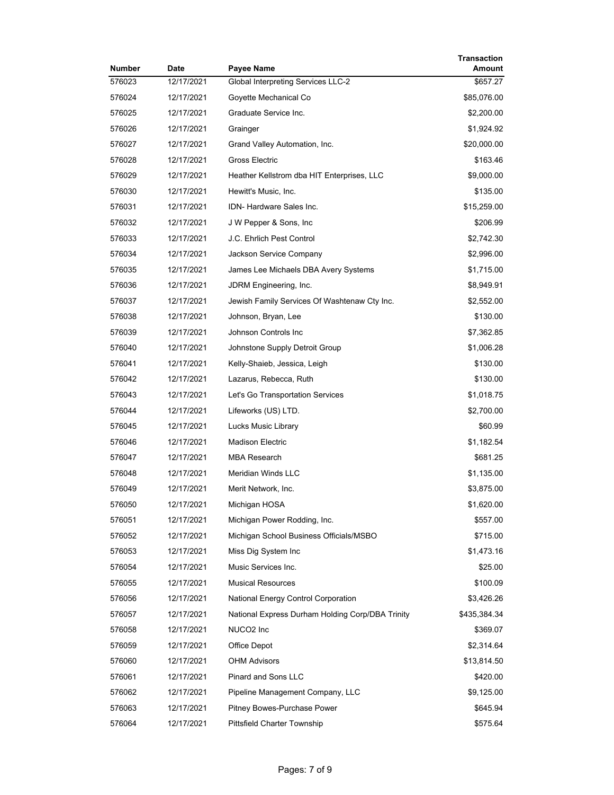| Number | <b>Date</b> | Payee Name                                       | Transaction<br>Amount |
|--------|-------------|--------------------------------------------------|-----------------------|
| 576023 | 12/17/2021  | <b>Global Interpreting Services LLC-2</b>        | \$657.27              |
| 576024 | 12/17/2021  | Goyette Mechanical Co                            | \$85,076.00           |
| 576025 | 12/17/2021  | Graduate Service Inc.                            | \$2,200.00            |
| 576026 | 12/17/2021  | Grainger                                         | \$1,924.92            |
| 576027 | 12/17/2021  | Grand Valley Automation, Inc.                    | \$20,000.00           |
| 576028 | 12/17/2021  | Gross Electric                                   | \$163.46              |
| 576029 | 12/17/2021  | Heather Kellstrom dba HIT Enterprises, LLC       | \$9,000.00            |
| 576030 | 12/17/2021  | Hewitt's Music, Inc.                             | \$135.00              |
| 576031 | 12/17/2021  | IDN- Hardware Sales Inc.                         | \$15,259.00           |
| 576032 | 12/17/2021  | J W Pepper & Sons, Inc.                          | \$206.99              |
| 576033 | 12/17/2021  | J.C. Ehrlich Pest Control                        | \$2,742.30            |
| 576034 | 12/17/2021  | Jackson Service Company                          | \$2,996.00            |
| 576035 | 12/17/2021  | James Lee Michaels DBA Avery Systems             | \$1,715.00            |
| 576036 | 12/17/2021  | JDRM Engineering, Inc.                           | \$8,949.91            |
| 576037 | 12/17/2021  | Jewish Family Services Of Washtenaw Cty Inc.     | \$2,552.00            |
| 576038 | 12/17/2021  | Johnson, Bryan, Lee                              | \$130.00              |
| 576039 | 12/17/2021  | Johnson Controls Inc                             | \$7,362.85            |
| 576040 | 12/17/2021  | Johnstone Supply Detroit Group                   | \$1,006.28            |
| 576041 | 12/17/2021  | Kelly-Shaieb, Jessica, Leigh                     | \$130.00              |
| 576042 | 12/17/2021  | Lazarus, Rebecca, Ruth                           | \$130.00              |
| 576043 | 12/17/2021  | Let's Go Transportation Services                 | \$1,018.75            |
| 576044 | 12/17/2021  | Lifeworks (US) LTD.                              | \$2,700.00            |
| 576045 | 12/17/2021  | Lucks Music Library                              | \$60.99               |
| 576046 | 12/17/2021  | <b>Madison Electric</b>                          | \$1,182.54            |
| 576047 | 12/17/2021  | <b>MBA Research</b>                              | \$681.25              |
| 576048 | 12/17/2021  | Meridian Winds LLC                               | \$1,135.00            |
| 576049 | 12/17/2021  | Merit Network, Inc.                              | \$3,875.00            |
| 576050 | 12/17/2021  | Michigan HOSA                                    | \$1,620.00            |
| 576051 | 12/17/2021  | Michigan Power Rodding, Inc.                     | \$557.00              |
| 576052 | 12/17/2021  | Michigan School Business Officials/MSBO          | \$715.00              |
| 576053 | 12/17/2021  | Miss Dig System Inc                              | \$1,473.16            |
| 576054 | 12/17/2021  | Music Services Inc.                              | \$25.00               |
| 576055 | 12/17/2021  | <b>Musical Resources</b>                         | \$100.09              |
| 576056 | 12/17/2021  | <b>National Energy Control Corporation</b>       | \$3,426.26            |
| 576057 | 12/17/2021  | National Express Durham Holding Corp/DBA Trinity | \$435,384.34          |
| 576058 | 12/17/2021  | NUCO2 Inc                                        | \$369.07              |
| 576059 | 12/17/2021  | Office Depot                                     | \$2,314.64            |
| 576060 | 12/17/2021  | <b>OHM Advisors</b>                              | \$13,814.50           |
| 576061 | 12/17/2021  | Pinard and Sons LLC                              | \$420.00              |
| 576062 | 12/17/2021  | Pipeline Management Company, LLC                 | \$9,125.00            |
| 576063 | 12/17/2021  | Pitney Bowes-Purchase Power                      | \$645.94              |
| 576064 | 12/17/2021  | Pittsfield Charter Township                      | \$575.64              |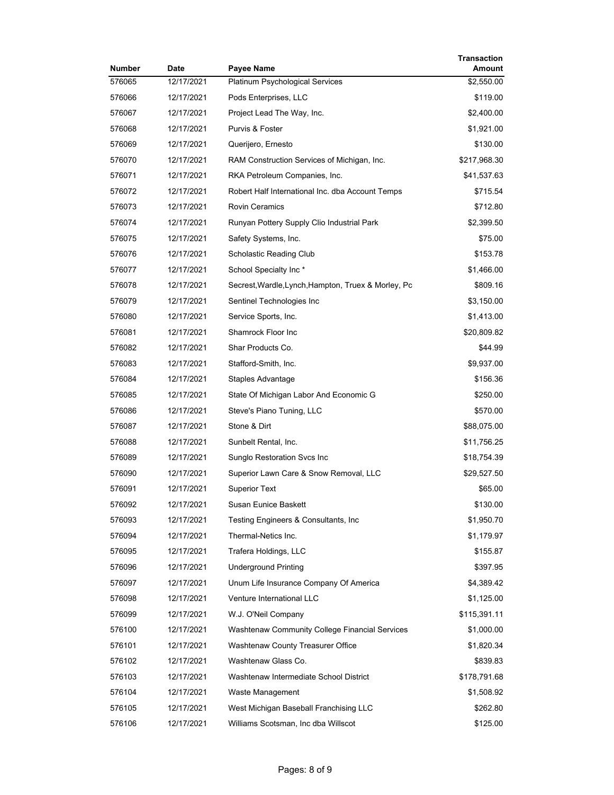| Number | <b>Date</b> | Payee Name                                          | Transaction<br>Amount |
|--------|-------------|-----------------------------------------------------|-----------------------|
| 576065 | 12/17/2021  | <b>Platinum Psychological Services</b>              | \$2,550.00            |
| 576066 | 12/17/2021  | Pods Enterprises, LLC                               | \$119.00              |
| 576067 | 12/17/2021  | Project Lead The Way, Inc.                          | \$2,400.00            |
| 576068 | 12/17/2021  | Purvis & Foster                                     | \$1,921.00            |
| 576069 | 12/17/2021  | Querijero, Ernesto                                  | \$130.00              |
| 576070 | 12/17/2021  | RAM Construction Services of Michigan, Inc.         | \$217,968.30          |
| 576071 | 12/17/2021  | RKA Petroleum Companies, Inc.                       | \$41,537.63           |
| 576072 | 12/17/2021  | Robert Half International Inc. dba Account Temps    | \$715.54              |
| 576073 | 12/17/2021  | <b>Rovin Ceramics</b>                               | \$712.80              |
| 576074 | 12/17/2021  | Runyan Pottery Supply Clio Industrial Park          | \$2,399.50            |
| 576075 | 12/17/2021  | Safety Systems, Inc.                                | \$75.00               |
| 576076 | 12/17/2021  | Scholastic Reading Club                             | \$153.78              |
| 576077 | 12/17/2021  | School Specialty Inc *                              | \$1,466.00            |
| 576078 | 12/17/2021  | Secrest, Wardle, Lynch, Hampton, Truex & Morley, Pc | \$809.16              |
| 576079 | 12/17/2021  | Sentinel Technologies Inc                           | \$3,150.00            |
| 576080 | 12/17/2021  | Service Sports, Inc.                                | \$1,413.00            |
| 576081 | 12/17/2021  | Shamrock Floor Inc                                  | \$20,809.82           |
| 576082 | 12/17/2021  | Shar Products Co.                                   | \$44.99               |
| 576083 | 12/17/2021  | Stafford-Smith, Inc.                                | \$9,937.00            |
| 576084 | 12/17/2021  | Staples Advantage                                   | \$156.36              |
| 576085 | 12/17/2021  | State Of Michigan Labor And Economic G              | \$250.00              |
| 576086 | 12/17/2021  | Steve's Piano Tuning, LLC                           | \$570.00              |
| 576087 | 12/17/2021  | Stone & Dirt                                        | \$88,075.00           |
| 576088 | 12/17/2021  | Sunbelt Rental, Inc.                                | \$11,756.25           |
| 576089 | 12/17/2021  | Sunglo Restoration Svcs Inc                         | \$18,754.39           |
| 576090 | 12/17/2021  | Superior Lawn Care & Snow Removal, LLC              | \$29,527.50           |
| 576091 | 12/17/2021  | <b>Superior Text</b>                                | \$65.00               |
| 576092 | 12/17/2021  | Susan Eunice Baskett                                | \$130.00              |
| 576093 | 12/17/2021  | Testing Engineers & Consultants, Inc.               | \$1,950.70            |
| 576094 | 12/17/2021  | Thermal-Netics Inc.                                 | \$1,179.97            |
| 576095 | 12/17/2021  | Trafera Holdings, LLC                               | \$155.87              |
| 576096 | 12/17/2021  | <b>Underground Printing</b>                         | \$397.95              |
| 576097 | 12/17/2021  | Unum Life Insurance Company Of America              | \$4,389.42            |
| 576098 | 12/17/2021  | Venture International LLC                           | \$1,125.00            |
| 576099 | 12/17/2021  | W.J. O'Neil Company                                 | \$115,391.11          |
| 576100 | 12/17/2021  | Washtenaw Community College Financial Services      | \$1,000.00            |
| 576101 | 12/17/2021  | Washtenaw County Treasurer Office                   | \$1,820.34            |
| 576102 | 12/17/2021  | Washtenaw Glass Co.                                 | \$839.83              |
| 576103 | 12/17/2021  | Washtenaw Intermediate School District              | \$178,791.68          |
| 576104 | 12/17/2021  | Waste Management                                    | \$1,508.92            |
| 576105 | 12/17/2021  | West Michigan Baseball Franchising LLC              | \$262.80              |
| 576106 | 12/17/2021  | Williams Scotsman, Inc dba Willscot                 | \$125.00              |